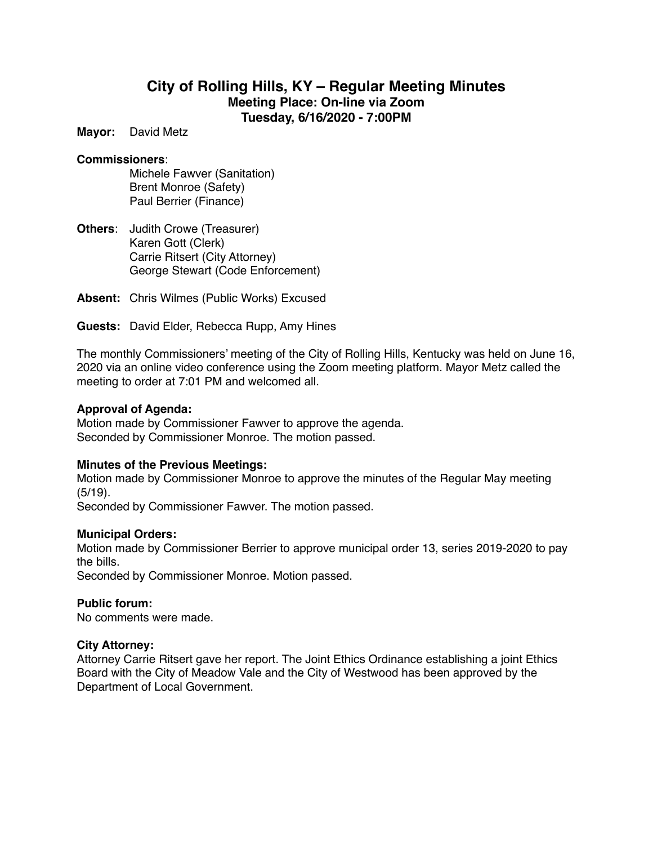# **City of Rolling Hills, KY – Regular Meeting Minutes Meeting Place: On-line via Zoom Tuesday, 6/16/2020 - 7:00PM**

**Mayor:** David Metz

#### **Commissioners**:

Michele Fawver (Sanitation) Brent Monroe (Safety) Paul Berrier (Finance)

**Others**: Judith Crowe (Treasurer) Karen Gott (Clerk) Carrie Ritsert (City Attorney) George Stewart (Code Enforcement)

**Absent:** Chris Wilmes (Public Works) Excused

**Guests:** David Elder, Rebecca Rupp, Amy Hines

The monthly Commissioners' meeting of the City of Rolling Hills, Kentucky was held on June 16, 2020 via an online video conference using the Zoom meeting platform. Mayor Metz called the meeting to order at 7:01 PM and welcomed all.

#### **Approval of Agenda:**

Motion made by Commissioner Fawver to approve the agenda. Seconded by Commissioner Monroe. The motion passed.

## **Minutes of the Previous Meetings:**

Motion made by Commissioner Monroe to approve the minutes of the Regular May meeting (5/19).

Seconded by Commissioner Fawver. The motion passed.

#### **Municipal Orders:**

Motion made by Commissioner Berrier to approve municipal order 13, series 2019-2020 to pay the bills.

Seconded by Commissioner Monroe. Motion passed.

## **Public forum:**

No comments were made.

#### **City Attorney:**

Attorney Carrie Ritsert gave her report. The Joint Ethics Ordinance establishing a joint Ethics Board with the City of Meadow Vale and the City of Westwood has been approved by the Department of Local Government.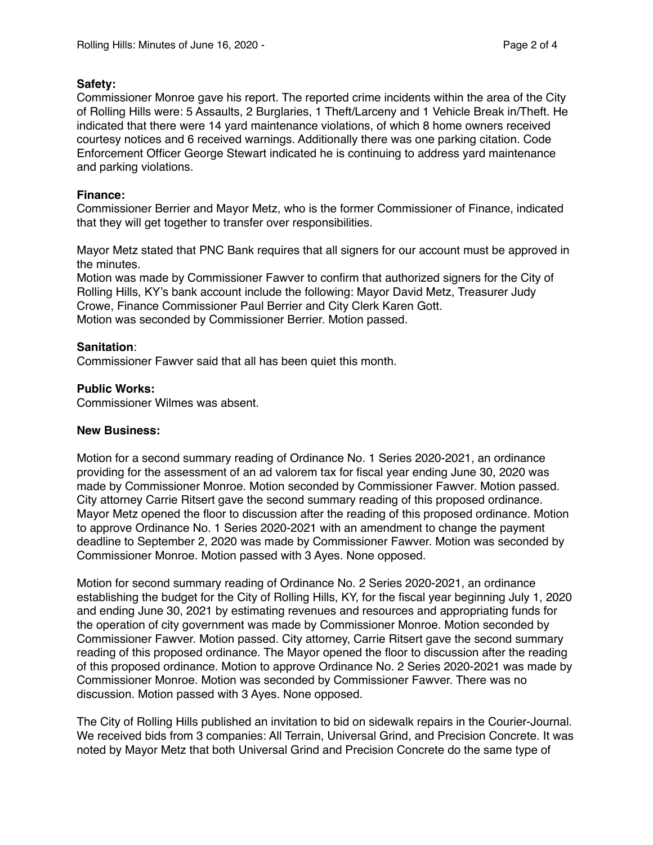### **Safety:**

Commissioner Monroe gave his report. The reported crime incidents within the area of the City of Rolling Hills were: 5 Assaults, 2 Burglaries, 1 Theft/Larceny and 1 Vehicle Break in/Theft. He indicated that there were 14 yard maintenance violations, of which 8 home owners received courtesy notices and 6 received warnings. Additionally there was one parking citation. Code Enforcement Officer George Stewart indicated he is continuing to address yard maintenance and parking violations.

# **Finance:**

Commissioner Berrier and Mayor Metz, who is the former Commissioner of Finance, indicated that they will get together to transfer over responsibilities.

Mayor Metz stated that PNC Bank requires that all signers for our account must be approved in the minutes.

Motion was made by Commissioner Fawver to confirm that authorized signers for the City of Rolling Hills, KY's bank account include the following: Mayor David Metz, Treasurer Judy Crowe, Finance Commissioner Paul Berrier and City Clerk Karen Gott. Motion was seconded by Commissioner Berrier. Motion passed.

## **Sanitation**:

Commissioner Fawver said that all has been quiet this month.

## **Public Works:**

Commissioner Wilmes was absent.

## **New Business:**

Motion for a second summary reading of Ordinance No. 1 Series 2020-2021, an ordinance providing for the assessment of an ad valorem tax for fiscal year ending June 30, 2020 was made by Commissioner Monroe. Motion seconded by Commissioner Fawver. Motion passed. City attorney Carrie Ritsert gave the second summary reading of this proposed ordinance. Mayor Metz opened the floor to discussion after the reading of this proposed ordinance. Motion to approve Ordinance No. 1 Series 2020-2021 with an amendment to change the payment deadline to September 2, 2020 was made by Commissioner Fawver. Motion was seconded by Commissioner Monroe. Motion passed with 3 Ayes. None opposed.

Motion for second summary reading of Ordinance No. 2 Series 2020-2021, an ordinance establishing the budget for the City of Rolling Hills, KY, for the fiscal year beginning July 1, 2020 and ending June 30, 2021 by estimating revenues and resources and appropriating funds for the operation of city government was made by Commissioner Monroe. Motion seconded by Commissioner Fawver. Motion passed. City attorney, Carrie Ritsert gave the second summary reading of this proposed ordinance. The Mayor opened the floor to discussion after the reading of this proposed ordinance. Motion to approve Ordinance No. 2 Series 2020-2021 was made by Commissioner Monroe. Motion was seconded by Commissioner Fawver. There was no discussion. Motion passed with 3 Ayes. None opposed.

The City of Rolling Hills published an invitation to bid on sidewalk repairs in the Courier-Journal. We received bids from 3 companies: All Terrain, Universal Grind, and Precision Concrete. It was noted by Mayor Metz that both Universal Grind and Precision Concrete do the same type of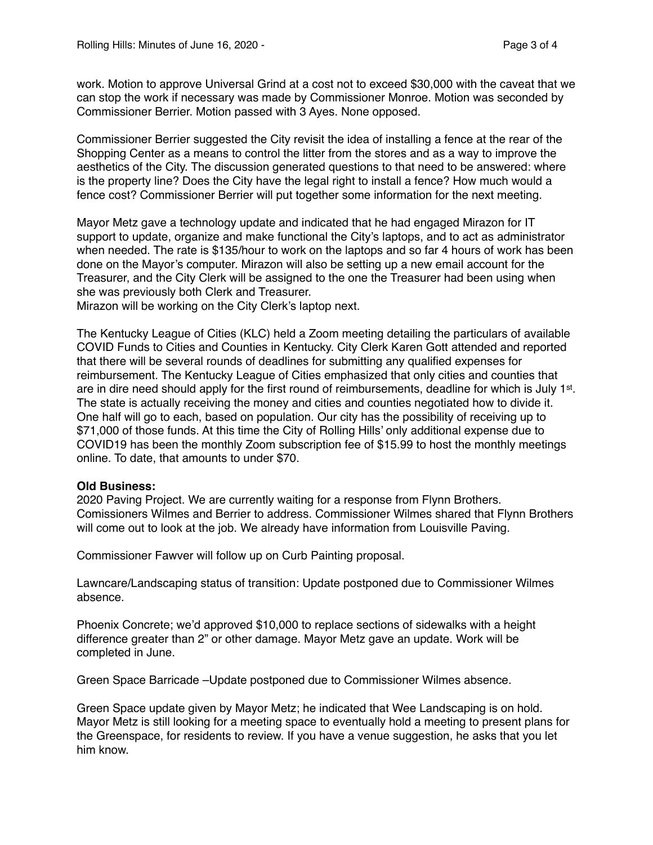work. Motion to approve Universal Grind at a cost not to exceed \$30,000 with the caveat that we can stop the work if necessary was made by Commissioner Monroe. Motion was seconded by Commissioner Berrier. Motion passed with 3 Ayes. None opposed.

Commissioner Berrier suggested the City revisit the idea of installing a fence at the rear of the Shopping Center as a means to control the litter from the stores and as a way to improve the aesthetics of the City. The discussion generated questions to that need to be answered: where is the property line? Does the City have the legal right to install a fence? How much would a fence cost? Commissioner Berrier will put together some information for the next meeting.

Mayor Metz gave a technology update and indicated that he had engaged Mirazon for IT support to update, organize and make functional the City's laptops, and to act as administrator when needed. The rate is \$135/hour to work on the laptops and so far 4 hours of work has been done on the Mayor's computer. Mirazon will also be setting up a new email account for the Treasurer, and the City Clerk will be assigned to the one the Treasurer had been using when she was previously both Clerk and Treasurer.

Mirazon will be working on the City Clerk's laptop next.

The Kentucky League of Cities (KLC) held a Zoom meeting detailing the particulars of available COVID Funds to Cities and Counties in Kentucky. City Clerk Karen Gott attended and reported that there will be several rounds of deadlines for submitting any qualified expenses for reimbursement. The Kentucky League of Cities emphasized that only cities and counties that are in dire need should apply for the first round of reimbursements, deadline for which is July 1st. The state is actually receiving the money and cities and counties negotiated how to divide it. One half will go to each, based on population. Our city has the possibility of receiving up to \$71,000 of those funds. At this time the City of Rolling Hills' only additional expense due to COVID19 has been the monthly Zoom subscription fee of \$15.99 to host the monthly meetings online. To date, that amounts to under \$70.

#### **Old Business:**

2020 Paving Project. We are currently waiting for a response from Flynn Brothers. Comissioners Wilmes and Berrier to address. Commissioner Wilmes shared that Flynn Brothers will come out to look at the job. We already have information from Louisville Paving.

Commissioner Fawver will follow up on Curb Painting proposal.

Lawncare/Landscaping status of transition: Update postponed due to Commissioner Wilmes absence.

Phoenix Concrete; we'd approved \$10,000 to replace sections of sidewalks with a height difference greater than 2" or other damage. Mayor Metz gave an update. Work will be completed in June.

Green Space Barricade –Update postponed due to Commissioner Wilmes absence.

Green Space update given by Mayor Metz; he indicated that Wee Landscaping is on hold. Mayor Metz is still looking for a meeting space to eventually hold a meeting to present plans for the Greenspace, for residents to review. If you have a venue suggestion, he asks that you let him know.